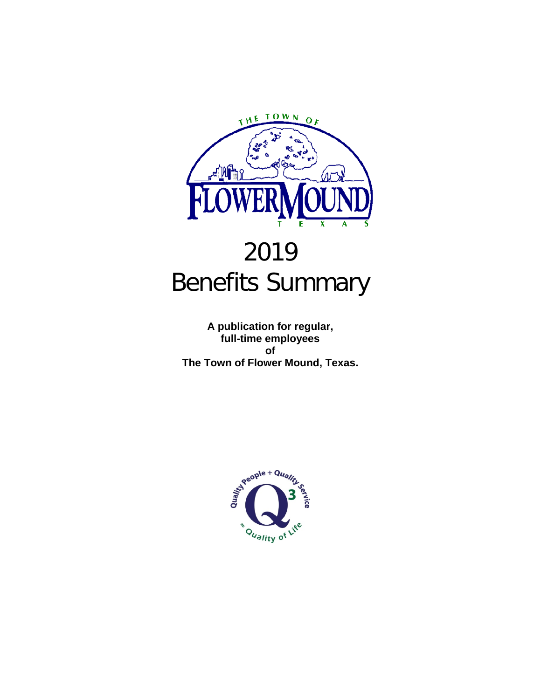

## 2019 Benefits Summary

**A publication for regular, full-time employees of The Town of Flower Mound, Texas.**